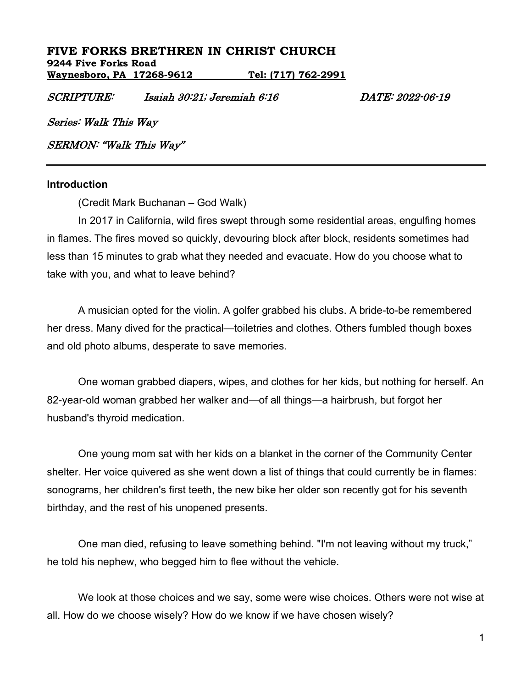## **FIVE FORKS BRETHREN IN CHRIST CHURCH 9244 Five Forks Road**

**Waynesboro, PA 17268-9612 Tel: (717) 762-2991**

SCRIPTURE: Isaiah 30:21; Jeremiah 6:16 DATE: 2022-06-19

Series: Walk This Way

SERMON: "Walk This Way"

### **Introduction**

(Credit Mark Buchanan – God Walk)

In 2017 in California, wild fires swept through some residential areas, engulfing homes in flames. The fires moved so quickly, devouring block after block, residents sometimes had less than 15 minutes to grab what they needed and evacuate. How do you choose what to take with you, and what to leave behind?

A musician opted for the violin. A golfer grabbed his clubs. A bride-to-be remembered her dress. Many dived for the practical—toiletries and clothes. Others fumbled though boxes and old photo albums, desperate to save memories.

One woman grabbed diapers, wipes, and clothes for her kids, but nothing for herself. An 82-year-old woman grabbed her walker and—of all things—a hairbrush, but forgot her husband's thyroid medication.

One young mom sat with her kids on a blanket in the corner of the Community Center shelter. Her voice quivered as she went down a list of things that could currently be in flames: sonograms, her children's first teeth, the new bike her older son recently got for his seventh birthday, and the rest of his unopened presents.

One man died, refusing to leave something behind. "I'm not leaving without my truck," he told his nephew, who begged him to flee without the vehicle.

We look at those choices and we say, some were wise choices. Others were not wise at all. How do we choose wisely? How do we know if we have chosen wisely?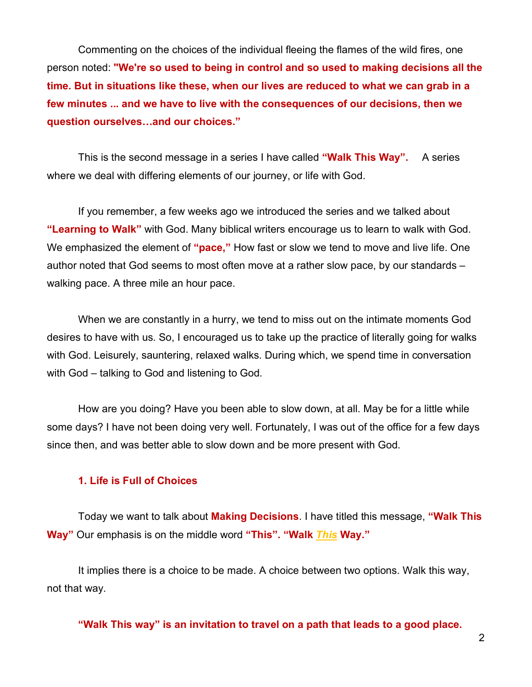Commenting on the choices of the individual fleeing the flames of the wild fires, one person noted: **"We're so used to being in control and so used to making decisions all the time. But in situations like these, when our lives are reduced to what we can grab in a few minutes ... and we have to live with the consequences of our decisions, then we question ourselves…and our choices."**

This is the second message in a series I have called **"Walk This Way".** A series where we deal with differing elements of our journey, or life with God.

If you remember, a few weeks ago we introduced the series and we talked about **"Learning to Walk"** with God. Many biblical writers encourage us to learn to walk with God. We emphasized the element of **"pace,"** How fast or slow we tend to move and live life. One author noted that God seems to most often move at a rather slow pace, by our standards – walking pace. A three mile an hour pace.

When we are constantly in a hurry, we tend to miss out on the intimate moments God desires to have with us. So, I encouraged us to take up the practice of literally going for walks with God. Leisurely, sauntering, relaxed walks. During which, we spend time in conversation with God – talking to God and listening to God.

How are you doing? Have you been able to slow down, at all. May be for a little while some days? I have not been doing very well. Fortunately, I was out of the office for a few days since then, and was better able to slow down and be more present with God.

## **1. Life is Full of Choices**

Today we want to talk about **Making Decisions**. I have titled this message, **"Walk This Way"** Our emphasis is on the middle word **"This". "Walk** *This* **Way."**

It implies there is a choice to be made. A choice between two options. Walk this way, not that way.

**"Walk This way" is an invitation to travel on a path that leads to a good place.**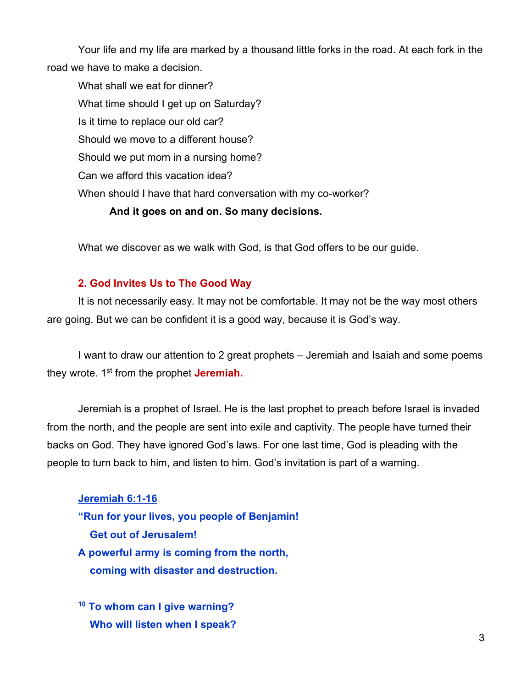Your life and my life are marked by a thousand little forks in the road. At each fork in the road we have to make a decision.

What shall we eat for dinner? What time should I get up on Saturday? Is it time to replace our old car? Should we move to a different house? Should we put mom in a nursing home? Can we afford this vacation idea? When should I have that hard conversation with my co-worker?

## **And it goes on and on. So many decisions.**

What we discover as we walk with God, is that God offers to be our guide.

### **2. God Invites Us to The Good Way**

It is not necessarily easy. It may not be comfortable. It may not be the way most others are going. But we can be confident it is a good way, because it is God's way.

I want to draw our attention to 2 great prophets – Jeremiah and Isaiah and some poems they wrote. 1st from the prophet **Jeremiah.**

Jeremiah is a prophet of Israel. He is the last prophet to preach before Israel is invaded from the north, and the people are sent into exile and captivity. The people have turned their backs on God. They have ignored God's laws. For one last time, God is pleading with the people to turn back to him, and listen to him. God's invitation is part of a warning.

**Jeremiah 6:1-16 "Run for your lives, you people of Benjamin! Get out of Jerusalem! A powerful army is coming from the north, coming with disaster and destruction.**

**<sup>10</sup> To whom can I give warning? Who will listen when I speak?**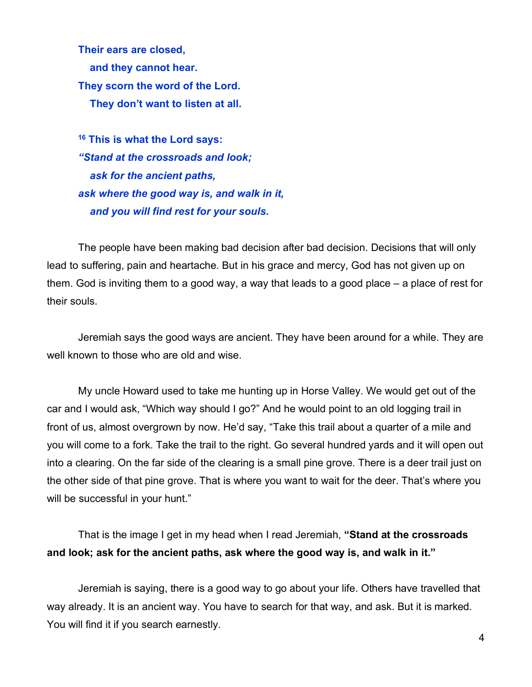**Their ears are closed, and they cannot hear. They scorn the word of the Lord. They don't want to listen at all.**

**<sup>16</sup> This is what the Lord says:** *"Stand at the crossroads and look; ask for the ancient paths, ask where the good way is, and walk in it, and you will find rest for your souls.*

The people have been making bad decision after bad decision. Decisions that will only lead to suffering, pain and heartache. But in his grace and mercy, God has not given up on them. God is inviting them to a good way, a way that leads to a good place – a place of rest for their souls.

Jeremiah says the good ways are ancient. They have been around for a while. They are well known to those who are old and wise.

My uncle Howard used to take me hunting up in Horse Valley. We would get out of the car and I would ask, "Which way should I go?" And he would point to an old logging trail in front of us, almost overgrown by now. He'd say, "Take this trail about a quarter of a mile and you will come to a fork. Take the trail to the right. Go several hundred yards and it will open out into a clearing. On the far side of the clearing is a small pine grove. There is a deer trail just on the other side of that pine grove. That is where you want to wait for the deer. That's where you will be successful in your hunt."

That is the image I get in my head when I read Jeremiah, **"Stand at the crossroads and look; ask for the ancient paths, ask where the good way is, and walk in it."**

Jeremiah is saying, there is a good way to go about your life. Others have travelled that way already. It is an ancient way. You have to search for that way, and ask. But it is marked. You will find it if you search earnestly.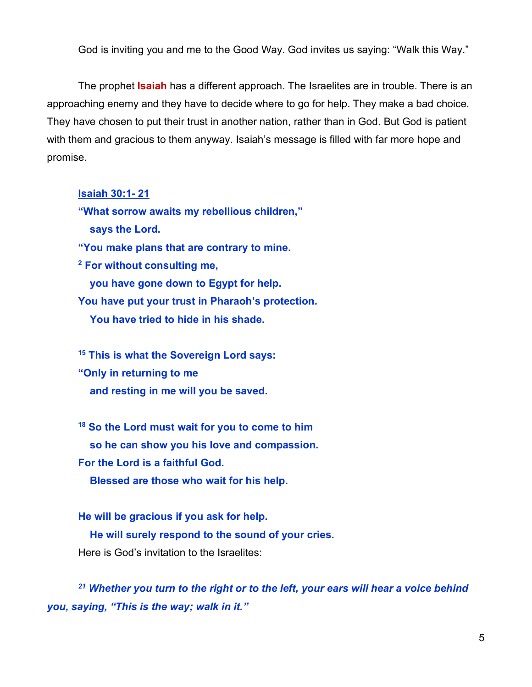God is inviting you and me to the Good Way. God invites us saying: "Walk this Way."

The prophet **Isaiah** has a different approach. The Israelites are in trouble. There is an approaching enemy and they have to decide where to go for help. They make a bad choice. They have chosen to put their trust in another nation, rather than in God. But God is patient with them and gracious to them anyway. Isaiah's message is filled with far more hope and promise.

**Isaiah 30:1- 21**

**"What sorrow awaits my rebellious children," says the Lord.**

**"You make plans that are contrary to mine.**

**<sup>2</sup> For without consulting me,**

 **you have gone down to Egypt for help.**

**You have put your trust in Pharaoh's protection.**

 **You have tried to hide in his shade.**

**<sup>15</sup> This is what the Sovereign Lord says: "Only in returning to me and resting in me will you be saved.**

**<sup>18</sup> So the Lord must wait for you to come to him so he can show you his love and compassion. For the Lord is a faithful God. Blessed are those who wait for his help.**

**He will be gracious if you ask for help. He will surely respond to the sound of your cries.** Here is God's invitation to the Israelites:

*<sup>21</sup> Whether you turn to the right or to the left, your ears will hear a voice behind you, saying, "This is the way; walk in it."*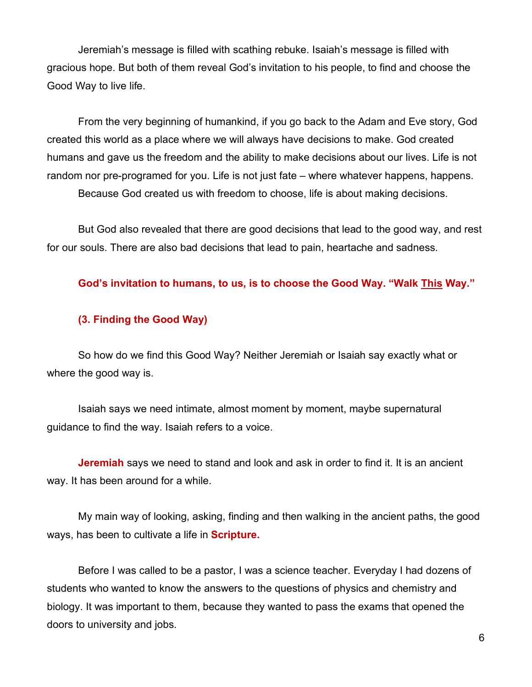Jeremiah's message is filled with scathing rebuke. Isaiah's message is filled with gracious hope. But both of them reveal God's invitation to his people, to find and choose the Good Way to live life.

From the very beginning of humankind, if you go back to the Adam and Eve story, God created this world as a place where we will always have decisions to make. God created humans and gave us the freedom and the ability to make decisions about our lives. Life is not random nor pre-programed for you. Life is not just fate – where whatever happens, happens. Because God created us with freedom to choose, life is about making decisions.

But God also revealed that there are good decisions that lead to the good way, and rest for our souls. There are also bad decisions that lead to pain, heartache and sadness.

**God's invitation to humans, to us, is to choose the Good Way. "Walk This Way."**

#### **(3. Finding the Good Way)**

So how do we find this Good Way? Neither Jeremiah or Isaiah say exactly what or where the good way is.

Isaiah says we need intimate, almost moment by moment, maybe supernatural guidance to find the way. Isaiah refers to a voice.

**Jeremiah** says we need to stand and look and ask in order to find it. It is an ancient way. It has been around for a while.

My main way of looking, asking, finding and then walking in the ancient paths, the good ways, has been to cultivate a life in **Scripture.**

Before I was called to be a pastor, I was a science teacher. Everyday I had dozens of students who wanted to know the answers to the questions of physics and chemistry and biology. It was important to them, because they wanted to pass the exams that opened the doors to university and jobs.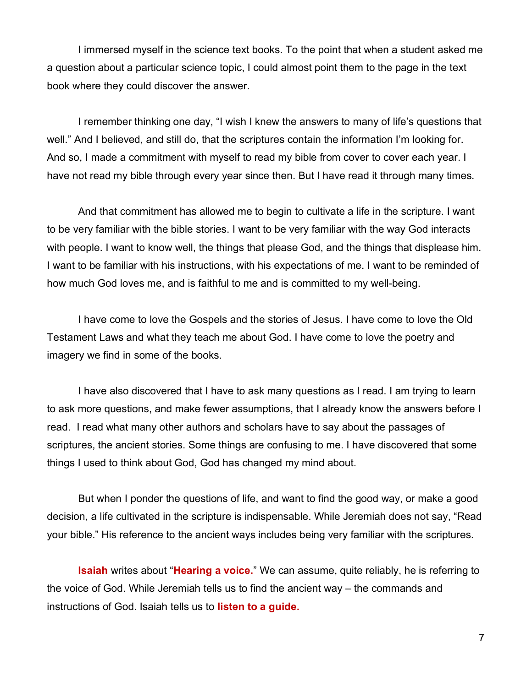I immersed myself in the science text books. To the point that when a student asked me a question about a particular science topic, I could almost point them to the page in the text book where they could discover the answer.

I remember thinking one day, "I wish I knew the answers to many of life's questions that well." And I believed, and still do, that the scriptures contain the information I'm looking for. And so, I made a commitment with myself to read my bible from cover to cover each year. I have not read my bible through every year since then. But I have read it through many times.

And that commitment has allowed me to begin to cultivate a life in the scripture. I want to be very familiar with the bible stories. I want to be very familiar with the way God interacts with people. I want to know well, the things that please God, and the things that displease him. I want to be familiar with his instructions, with his expectations of me. I want to be reminded of how much God loves me, and is faithful to me and is committed to my well-being.

I have come to love the Gospels and the stories of Jesus. I have come to love the Old Testament Laws and what they teach me about God. I have come to love the poetry and imagery we find in some of the books.

I have also discovered that I have to ask many questions as I read. I am trying to learn to ask more questions, and make fewer assumptions, that I already know the answers before I read. I read what many other authors and scholars have to say about the passages of scriptures, the ancient stories. Some things are confusing to me. I have discovered that some things I used to think about God, God has changed my mind about.

But when I ponder the questions of life, and want to find the good way, or make a good decision, a life cultivated in the scripture is indispensable. While Jeremiah does not say, "Read your bible." His reference to the ancient ways includes being very familiar with the scriptures.

**Isaiah** writes about "**Hearing a voice.**" We can assume, quite reliably, he is referring to the voice of God. While Jeremiah tells us to find the ancient way – the commands and instructions of God. Isaiah tells us to **listen to a guide.**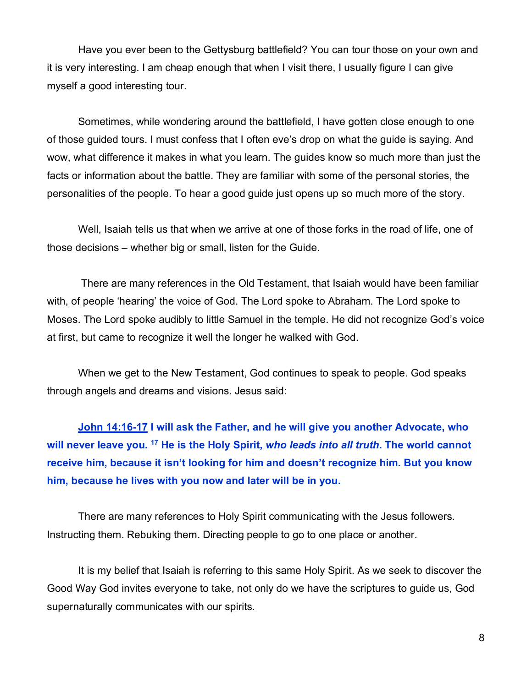Have you ever been to the Gettysburg battlefield? You can tour those on your own and it is very interesting. I am cheap enough that when I visit there, I usually figure I can give myself a good interesting tour.

Sometimes, while wondering around the battlefield, I have gotten close enough to one of those guided tours. I must confess that I often eve's drop on what the guide is saying. And wow, what difference it makes in what you learn. The guides know so much more than just the facts or information about the battle. They are familiar with some of the personal stories, the personalities of the people. To hear a good guide just opens up so much more of the story.

Well, Isaiah tells us that when we arrive at one of those forks in the road of life, one of those decisions – whether big or small, listen for the Guide.

There are many references in the Old Testament, that Isaiah would have been familiar with, of people 'hearing' the voice of God. The Lord spoke to Abraham. The Lord spoke to Moses. The Lord spoke audibly to little Samuel in the temple. He did not recognize God's voice at first, but came to recognize it well the longer he walked with God.

When we get to the New Testament, God continues to speak to people. God speaks through angels and dreams and visions. Jesus said:

**John 14:16-17 I will ask the Father, and he will give you another Advocate, who will never leave you. 17 He is the Holy Spirit,** *who leads into all truth***. The world cannot receive him, because it isn't looking for him and doesn't recognize him. But you know him, because he lives with you now and later will be in you.**

There are many references to Holy Spirit communicating with the Jesus followers. Instructing them. Rebuking them. Directing people to go to one place or another.

It is my belief that Isaiah is referring to this same Holy Spirit. As we seek to discover the Good Way God invites everyone to take, not only do we have the scriptures to guide us, God supernaturally communicates with our spirits.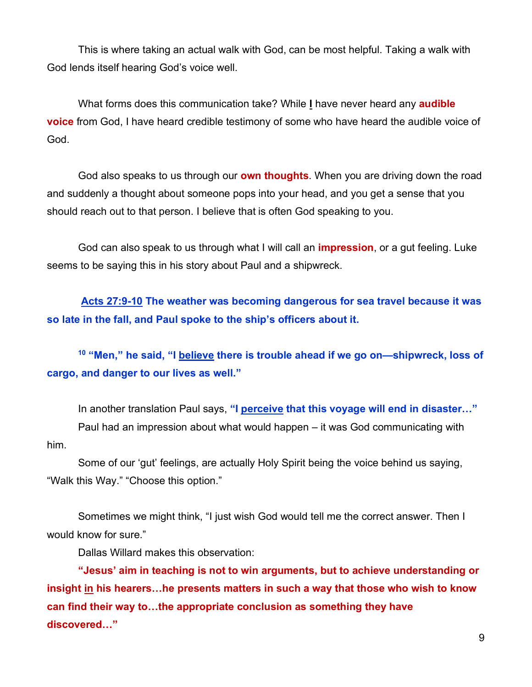This is where taking an actual walk with God, can be most helpful. Taking a walk with God lends itself hearing God's voice well.

What forms does this communication take? While **I** have never heard any **audible voice** from God, I have heard credible testimony of some who have heard the audible voice of God.

God also speaks to us through our **own thoughts**. When you are driving down the road and suddenly a thought about someone pops into your head, and you get a sense that you should reach out to that person. I believe that is often God speaking to you.

God can also speak to us through what I will call an **impression**, or a gut feeling. Luke seems to be saying this in his story about Paul and a shipwreck.

**Acts 27:9-10 The weather was becoming dangerous for sea travel because it was so late in the fall, and Paul spoke to the ship's officers about it.**

**<sup>10</sup> "Men," he said, "I believe there is trouble ahead if we go on—shipwreck, loss of cargo, and danger to our lives as well."**

In another translation Paul says, **"I perceive that this voyage will end in disaster…"** Paul had an impression about what would happen – it was God communicating with him.

Some of our 'gut' feelings, are actually Holy Spirit being the voice behind us saying, "Walk this Way." "Choose this option."

Sometimes we might think, "I just wish God would tell me the correct answer. Then I would know for sure."

Dallas Willard makes this observation:

**"Jesus' aim in teaching is not to win arguments, but to achieve understanding or insight in his hearers…he presents matters in such a way that those who wish to know can find their way to…the appropriate conclusion as something they have discovered…"**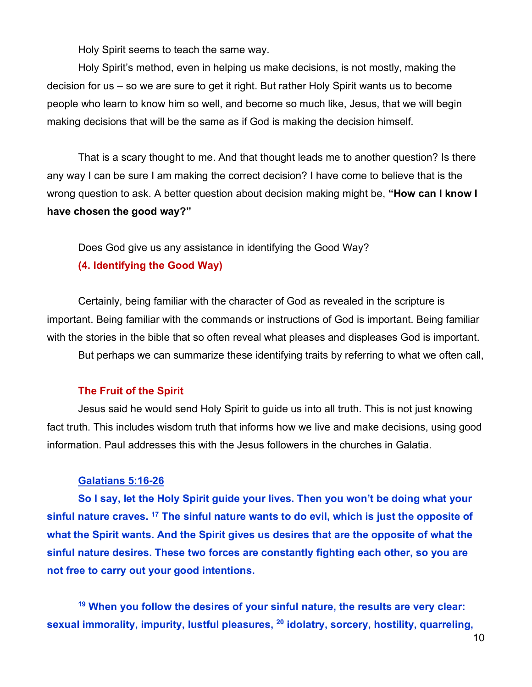Holy Spirit seems to teach the same way.

Holy Spirit's method, even in helping us make decisions, is not mostly, making the decision for us – so we are sure to get it right. But rather Holy Spirit wants us to become people who learn to know him so well, and become so much like, Jesus, that we will begin making decisions that will be the same as if God is making the decision himself.

That is a scary thought to me. And that thought leads me to another question? Is there any way I can be sure I am making the correct decision? I have come to believe that is the wrong question to ask. A better question about decision making might be, **"How can I know I have chosen the good way?"**

Does God give us any assistance in identifying the Good Way? **(4. Identifying the Good Way)**

Certainly, being familiar with the character of God as revealed in the scripture is important. Being familiar with the commands or instructions of God is important. Being familiar with the stories in the bible that so often reveal what pleases and displeases God is important.

But perhaps we can summarize these identifying traits by referring to what we often call,

### **The Fruit of the Spirit**

Jesus said he would send Holy Spirit to guide us into all truth. This is not just knowing fact truth. This includes wisdom truth that informs how we live and make decisions, using good information. Paul addresses this with the Jesus followers in the churches in Galatia.

#### **Galatians 5:16-26**

**So I say, let the Holy Spirit guide your lives. Then you won't be doing what your sinful nature craves. 17 The sinful nature wants to do evil, which is just the opposite of what the Spirit wants. And the Spirit gives us desires that are the opposite of what the sinful nature desires. These two forces are constantly fighting each other, so you are not free to carry out your good intentions.** 

**<sup>19</sup> When you follow the desires of your sinful nature, the results are very clear: sexual immorality, impurity, lustful pleasures, 20 idolatry, sorcery, hostility, quarreling,**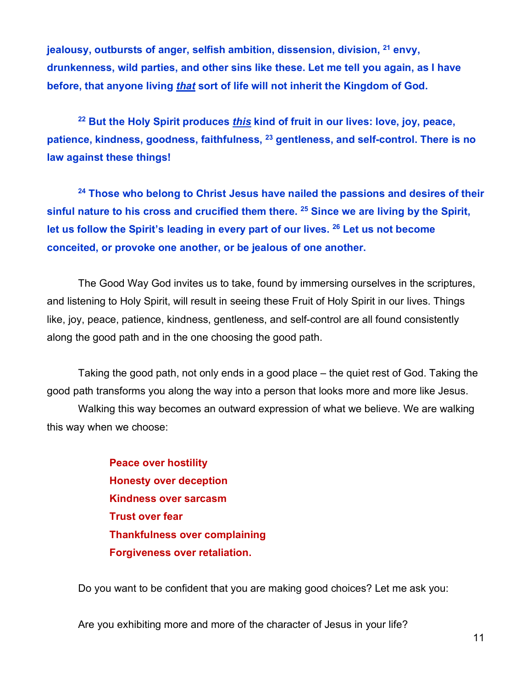**jealousy, outbursts of anger, selfish ambition, dissension, division, 21 envy, drunkenness, wild parties, and other sins like these. Let me tell you again, as I have before, that anyone living** *that* **sort of life will not inherit the Kingdom of God.**

**<sup>22</sup> But the Holy Spirit produces** *this* **kind of fruit in our lives: love, joy, peace, patience, kindness, goodness, faithfulness, 23 gentleness, and self-control. There is no law against these things!**

**<sup>24</sup> Those who belong to Christ Jesus have nailed the passions and desires of their sinful nature to his cross and crucified them there. 25 Since we are living by the Spirit, let us follow the Spirit's leading in every part of our lives. 26 Let us not become conceited, or provoke one another, or be jealous of one another.**

The Good Way God invites us to take, found by immersing ourselves in the scriptures, and listening to Holy Spirit, will result in seeing these Fruit of Holy Spirit in our lives. Things like, joy, peace, patience, kindness, gentleness, and self-control are all found consistently along the good path and in the one choosing the good path.

Taking the good path, not only ends in a good place – the quiet rest of God. Taking the good path transforms you along the way into a person that looks more and more like Jesus.

Walking this way becomes an outward expression of what we believe. We are walking this way when we choose:

> **Peace over hostility Honesty over deception Kindness over sarcasm Trust over fear Thankfulness over complaining Forgiveness over retaliation.**

Do you want to be confident that you are making good choices? Let me ask you:

Are you exhibiting more and more of the character of Jesus in your life?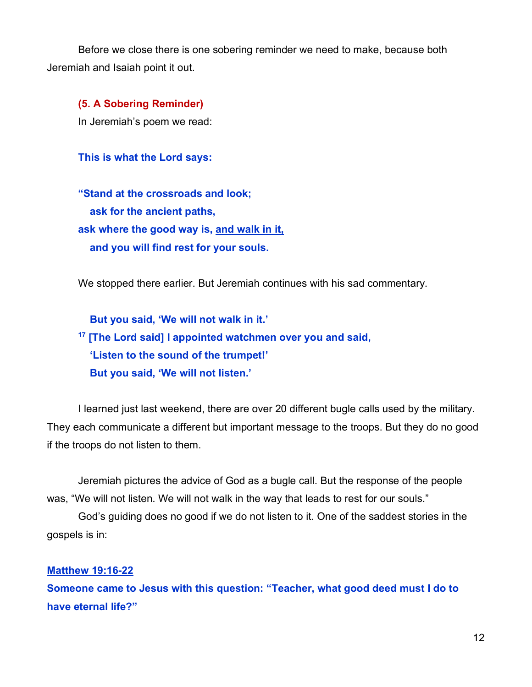Before we close there is one sobering reminder we need to make, because both Jeremiah and Isaiah point it out.

**(5. A Sobering Reminder)** In Jeremiah's poem we read:

**This is what the Lord says:**

**"Stand at the crossroads and look; ask for the ancient paths, ask where the good way is, and walk in it, and you will find rest for your souls.**

We stopped there earlier. But Jeremiah continues with his sad commentary.

 **But you said, 'We will not walk in it.' <sup>17</sup> [The Lord said] I appointed watchmen over you and said, 'Listen to the sound of the trumpet!' But you said, 'We will not listen.'**

I learned just last weekend, there are over 20 different bugle calls used by the military. They each communicate a different but important message to the troops. But they do no good if the troops do not listen to them.

Jeremiah pictures the advice of God as a bugle call. But the response of the people was, "We will not listen. We will not walk in the way that leads to rest for our souls."

God's guiding does no good if we do not listen to it. One of the saddest stories in the gospels is in:

#### **Matthew 19:16-22**

**Someone came to Jesus with this question: "Teacher, what good deed must I do to have eternal life?"**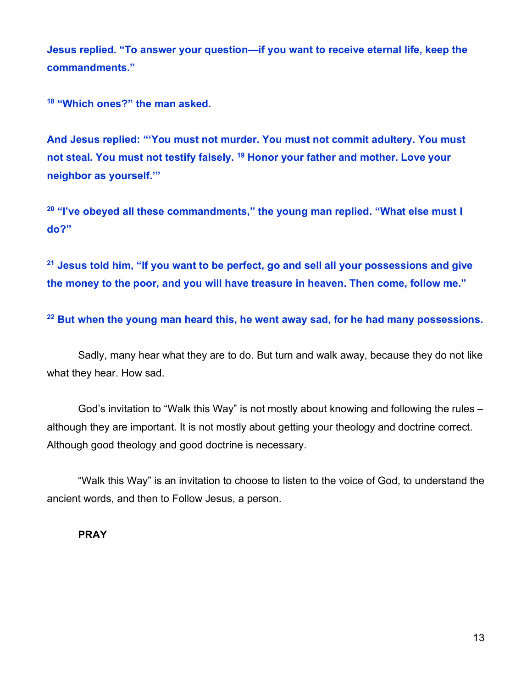**Jesus replied. "To answer your question—if you want to receive eternal life, keep the commandments."**

**<sup>18</sup> "Which ones?" the man asked.**

**And Jesus replied: "'You must not murder. You must not commit adultery. You must not steal. You must not testify falsely. 19 Honor your father and mother. Love your neighbor as yourself.'"**

**<sup>20</sup> "I've obeyed all these commandments," the young man replied. "What else must I do?"**

**<sup>21</sup> Jesus told him, "If you want to be perfect, go and sell all your possessions and give the money to the poor, and you will have treasure in heaven. Then come, follow me."**

**<sup>22</sup> But when the young man heard this, he went away sad, for he had many possessions.**

Sadly, many hear what they are to do. But turn and walk away, because they do not like what they hear. How sad.

God's invitation to "Walk this Way" is not mostly about knowing and following the rules – although they are important. It is not mostly about getting your theology and doctrine correct. Although good theology and good doctrine is necessary.

"Walk this Way" is an invitation to choose to listen to the voice of God, to understand the ancient words, and then to Follow Jesus, a person.

### **PRAY**